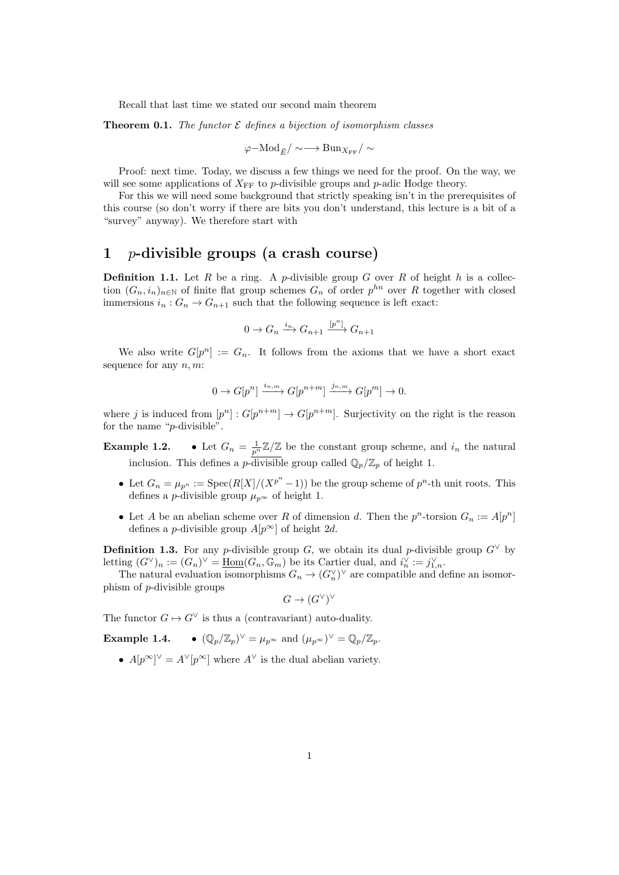<span id="page-0-0"></span>Recall that last time we stated our second main theorem

**Theorem 0.1.** The functor  $\mathcal E$  defines a bijection of isomorphism classes

$$
\varphi-\text{Mod}_{\breve{E}}/\sim\longrightarrow\text{Bun}_{X_{\text{FF}}}/\sim
$$

Proof: next time. Today, we discuss a few things we need for the proof. On the way, we will see some applications of  $X_{\text{FF}}$  to p-divisible groups and p-adic Hodge theory.

For this we will need some background that strictly speaking isn't in the prerequisites of this course (so don't worry if there are bits you don't understand, this lecture is a bit of a "survey" anyway). We therefore start with

#### 1 p-divisible groups (a crash course)

**Definition 1.1.** Let  $R$  be a ring. A p-divisible group  $G$  over  $R$  of height  $h$  is a collection  $(G_n, i_n)_{n \in \mathbb{N}}$  of finite flat group schemes  $G_n$  of order  $p^{hn}$  over R together with closed immersions  $i_n: G_n \to G_{n+1}$  such that the following sequence is left exact:

$$
0 \to G_n \xrightarrow{i_n} G_{n+1} \xrightarrow{[p^n]} G_{n+1}
$$

We also write  $G[p^n] := G_n$ . It follows from the axioms that we have a short exact sequence for any  $n, m$ :

$$
0 \to G[p^n] \xrightarrow{i_{n,m}} G[p^{n+m}] \xrightarrow{j_{n,m}} G[p^m] \to 0.
$$

where j is induced from  $[p^n] : G[p^{n+m}] \to G[p^{n+m}]$ . Surjectivity on the right is the reason for the name "p-divisible".

Example 1.2.  $\frac{1}{p^n}\mathbb{Z}/\mathbb{Z}$  be the constant group scheme, and  $i_n$  the natural inclusion. This defines a p-divisible group called  $\mathbb{Q}_p/\mathbb{Z}_p$  of height 1.

- Let  $G_n = \mu_{p^n} := \text{Spec}(R[X]/(X^{p^n} 1))$  be the group scheme of  $p^n$ -th unit roots. This defines a *p*-divisible group  $\mu_p \infty$  of height 1.
- Let A be an abelian scheme over R of dimension d. Then the  $p^n$ -torsion  $G_n := A[p^n]$ defines a *p*-divisible group  $A[p^{\infty}]$  of height 2d.

**Definition 1.3.** For any p-divisible group G, we obtain its dual p-divisible group  $G^{\vee}$  by letting  $(G^{\vee})_n := (G_n)^{\vee} = \underline{\text{Hom}}(G_n, \mathbb{G}_m)$  be its Cartier dual, and  $i_n^{\vee} := j_{1,n}^{\vee}$ .

The natural evaluation isomorphisms  $G_n \to (G_n^{\vee})^{\vee}$  are compatible and define an isomorphism of p-divisible groups

$$
G \to (G^\vee)^\vee
$$

The functor  $G \mapsto G^{\vee}$  is thus a (contravariant) auto-duality.

Example 1.4.  $\vee = \mu_{p^{\infty}}$  and  $(\mu_{p^{\infty}})^{\vee} = \mathbb{Q}_p/\mathbb{Z}_p$ .

•  $A[p^{\infty}]^{\vee} = A^{\vee}[p^{\infty}]$  where  $A^{\vee}$  is the dual abelian variety.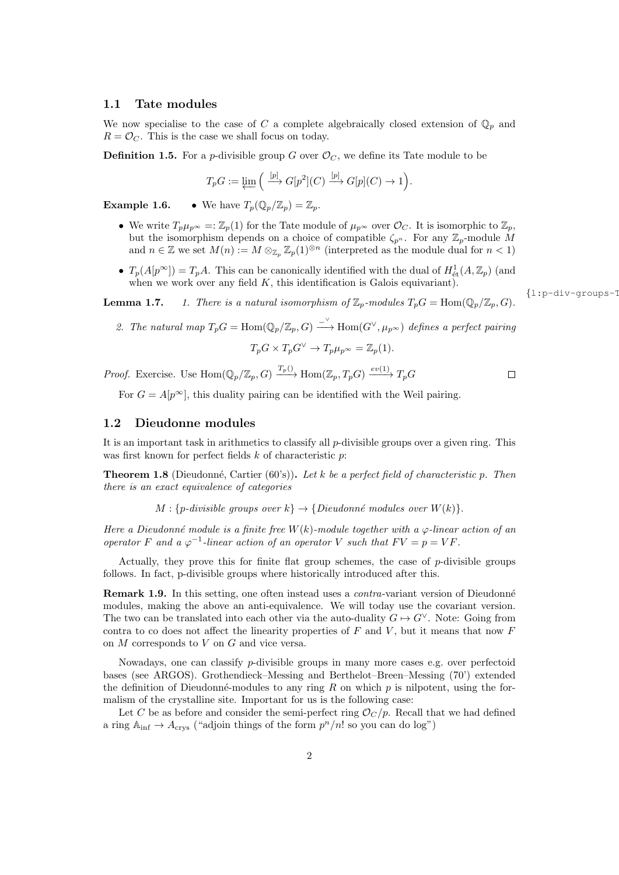#### 1.1 Tate modules

We now specialise to the case of C a complete algebraically closed extension of  $\mathbb{Q}_p$  and  $R = \mathcal{O}_C$ . This is the case we shall focus on today.

**Definition 1.5.** For a *p*-divisible group G over  $\mathcal{O}_C$ , we define its Tate module to be

$$
T_p G := \varprojlim \left( \xrightarrow{[p]} G[p^2](C) \xrightarrow{[p]} G[p](C) \to 1 \right).
$$

**Example 1.6.** • We have  $T_p(\mathbb{Q}_p/\mathbb{Z}_p) = \mathbb{Z}_p$ .

- We write  $T_p\mu_{p^\infty} =: \mathbb{Z}_p(1)$  for the Tate module of  $\mu_{p^\infty}$  over  $\mathcal{O}_C$ . It is isomorphic to  $\mathbb{Z}_p$ , but the isomorphism depends on a choice of compatible  $\zeta_{p^n}$ . For any  $\mathbb{Z}_p$ -module M and  $n \in \mathbb{Z}$  we set  $M(n) := M \otimes_{\mathbb{Z}_p} \mathbb{Z}_p(1)^{\otimes n}$  (interpreted as the module dual for  $n < 1$ )
- $T_p(A[p^{\infty}]) = T_pA$ . This can be canonically identified with the dual of  $H^1_{\text{\'et}}(A, \mathbb{Z}_p)$  (and when we work over any field  $K$ , this identification is Galois equivariant).

**Lemma 1.7.** 1. There is a natural isomorphism of  $\mathbb{Z}_p$ -modules  $T_pG = \text{Hom}(\mathbb{Q}_p/\mathbb{Z}_p, G)$ .

2. The natural map  $T_pG = \text{Hom}(\mathbb{Q}_p/\mathbb{Z}_p, G) \stackrel{\sim}{\longrightarrow} \text{Hom}(G^{\vee}, \mu_{p^{\infty}})$  defines a perfect pairing

$$
T_p G \times T_p G^{\vee} \to T_p \mu_{p^{\infty}} = \mathbb{Z}_p(1).
$$

*Proof.* Exercise. Use  $\text{Hom}(\mathbb{Q}_p/\mathbb{Z}_p, G) \xrightarrow{T_p(\cdot)} \text{Hom}(\mathbb{Z}_p, T_p G) \xrightarrow{ev(1)} T_p G$ 

For  $G = A[p^{\infty}]$ , this duality pairing can be identified with the Weil pairing.

#### 1.2 Dieudonne modules

It is an important task in arithmetics to classify all  $p$ -divisible groups over a given ring. This was first known for perfect fields  $k$  of characteristic  $p$ :

**Theorem 1.8** (Dieudonné, Cartier (60's)). Let k be a perfect field of characteristic p. Then there is an exact equivalence of categories

 $M: \{p\text{-divisible groups over } k\} \to \{Dieudonné modules over W(k)\}.$ 

Here a Dieudonné module is a finite free  $W(k)$ -module together with a  $\varphi$ -linear action of an operator F and a  $\varphi^{-1}$ -linear action of an operator V such that  $FV = p = VF$ .

Actually, they prove this for finite flat group schemes, the case of  $p$ -divisible groups follows. In fact, p-divisible groups where historically introduced after this.

**Remark 1.9.** In this setting, one often instead uses a *contra*-variant version of Dieudonné modules, making the above an anti-equivalence. We will today use the covariant version. The two can be translated into each other via the auto-duality  $G \mapsto G^{\vee}$ . Note: Going from contra to co does not affect the linearity properties of  $F$  and  $V$ , but it means that now  $F$ on M corresponds to V on G and vice versa.

Nowadays, one can classify p-divisible groups in many more cases e.g. over perfectoid bases (see ARGOS). Grothendieck–Messing and Berthelot–Breen–Messing (70') extended the definition of Dieudonné-modules to any ring R on which  $p$  is nilpotent, using the formalism of the crystalline site. Important for us is the following case:

Let C be as before and consider the semi-perfect ring  $\mathcal{O}_C/p$ . Recall that we had defined a ring  $\mathbb{A}_{\text{inf}} \to A_{\text{crys}}$  ("adjoin things of the form  $p^n/n!$  so you can do log")

 ${1:p-div-groups-1}$ 

 $\Box$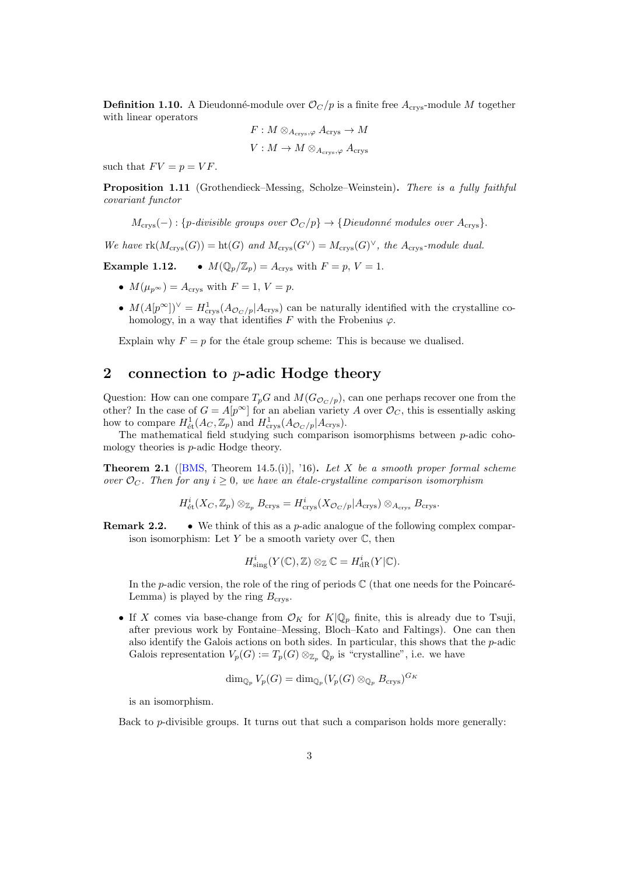**Definition 1.10.** A Dieudonné-module over  $\mathcal{O}_C/p$  is a finite free  $A_{\text{crys}}$ -module M together with linear operators

$$
F: M \otimes_{A_{\text{crys}}, \varphi} A_{\text{crys}} \to M
$$
  

$$
V: M \to M \otimes_{A_{\text{crys}}, \varphi} A_{\text{crys}}
$$

such that  $FV = p = VF$ .

Proposition 1.11 (Grothendieck–Messing, Scholze–Weinstein). There is a fully faithful covariant functor

 $M_{\text{crys}}(-): \{p\text{-}divisible\text{ groups over }\mathcal{O}_C/p\} \to \{Dieudonné\text{ modules over }A_{\text{crys}}\}.$ 

We have  $\text{rk}(M_{\text{crys}}(G)) = \text{ht}(G)$  and  $M_{\text{crys}}(G^{\vee}) = M_{\text{crys}}(G)^{\vee}$ , the  $A_{\text{crys}}$ -module dual.

**Example 1.12.** •  $M(\mathbb{Q}_p/\mathbb{Z}_p) = A_{\text{crys}}$  with  $F = p, V = 1$ .

- $M(\mu_{p^{\infty}}) = A_{\text{crys}}$  with  $F = 1, V = p$ .
- $M(A[p^{\infty}])^{\vee} = H^1_{\text{crys}}(A_{\mathcal{O}_C/p}|A_{\text{crys}})$  can be naturally identified with the crystalline cohomology, in a way that identifies F with the Frobenius  $\varphi$ .

Explain why  $F = p$  for the étale group scheme: This is because we dualised.

#### 2 connection to  $p$ -adic Hodge theory

Question: How can one compare  $T_pG$  and  $M(G_{\mathcal{O}_C/p})$ , can one perhaps recover one from the other? In the case of  $G = A[p^{\infty}]$  for an abelian variety A over  $\mathcal{O}_C$ , this is essentially asking how to compare  $H^1_{\text{\'et}}(A_C, \mathbb{Z}_p)$  and  $H^1_{\text{crys}}(A_{\mathcal{O}_C/p}|A_{\text{crys}})$ .

The mathematical field studying such comparison isomorphisms between p-adic cohomology theories is p-adic Hodge theory.

**Theorem 2.1** ([\[BMS,](#page-9-0) Theorem 14.5.(i)], '16). Let X be a smooth proper formal scheme over  $\mathcal{O}_C$ . Then for any  $i \geq 0$ , we have an étale-crystalline comparison isomorphism

$$
H^i_{\mathrm{\acute{e}t}}(X_C,\mathbb{Z}_p)\otimes_{\mathbb{Z}_p}B_{\mathrm{crys}}=H^i_{\mathrm{crys}}(X_{{\mathcal O}_C/p}|A_{\mathrm{crys}})\otimes_{A_{\mathrm{crys}}}B_{\mathrm{crys}}.
$$

**Remark 2.2.** • We think of this as a *p*-adic analogue of the following complex comparison isomorphism: Let  $Y$  be a smooth variety over  $\mathbb{C}$ , then

$$
H^i_{\text{sing}}(Y(\mathbb{C}), \mathbb{Z}) \otimes_{\mathbb{Z}} \mathbb{C} = H^i_{\text{dR}}(Y|\mathbb{C}).
$$

In the p-adic version, the role of the ring of periods  $\mathbb C$  (that one needs for the Poincaré-Lemma) is played by the ring  $B_{\text{crys}}$ .

• If X comes via base-change from  $\mathcal{O}_K$  for  $K|\mathbb{Q}_p$  finite, this is already due to Tsuji, after previous work by Fontaine–Messing, Bloch–Kato and Faltings). One can then also identify the Galois actions on both sides. In particular, this shows that the  $p$ -adic Galois representation  $V_p(G) := T_p(G) \otimes_{\mathbb{Z}_p} \mathbb{Q}_p$  is "crystalline", i.e. we have

$$
\dim_{\mathbb{Q}_p} V_p(G) = \dim_{\mathbb{Q}_p} (V_p(G) \otimes_{\mathbb{Q}_p} B_{\mathrm{crys}})^{G_K}
$$

is an isomorphism.

Back to  $p$ -divisible groups. It turns out that such a comparison holds more generally: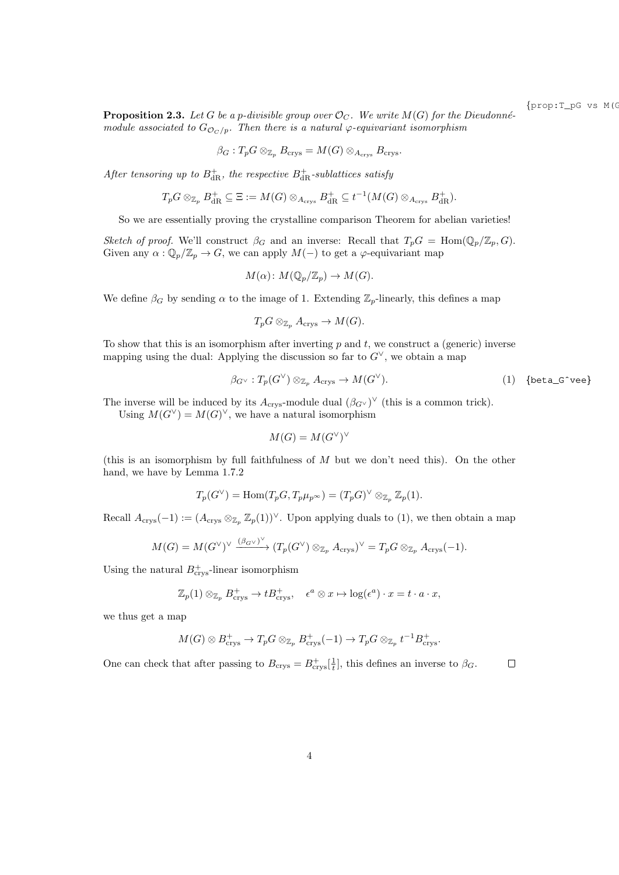{prop:T\_pG vs M(G)}

<span id="page-3-1"></span>**Proposition 2.3.** Let G be a p-divisible group over  $\mathcal{O}_C$ . We write  $M(G)$  for the Dieudonnémodule associated to  $G_{\mathcal{O}_C/p}$ . Then there is a natural  $\varphi$ -equivariant isomorphism

$$
\beta_G: T_p G \otimes_{\mathbb{Z}_p} B_{\text{crys}} = M(G) \otimes_{A_{\text{crys}}} B_{\text{crys}}.
$$

After tensoring up to  $B_{\mathrm{dR}}^{+}$ , the respective  $B_{\mathrm{dR}}^{+}$ -sublattices satisfy

$$
T_pG \otimes_{\mathbb{Z}_p} B_{\mathrm{dR}}^+ \subseteq \Xi := M(G) \otimes_{A_{\mathrm{crys}}} B_{\mathrm{dR}}^+ \subseteq t^{-1}(M(G) \otimes_{A_{\mathrm{crys}}} B_{\mathrm{dR}}^+).
$$

So we are essentially proving the crystalline comparison Theorem for abelian varieties!

Sketch of proof. We'll construct  $\beta_G$  and an inverse: Recall that  $T_pG = \text{Hom}(\mathbb{Q}_p/\mathbb{Z}_p, G)$ . Given any  $\alpha : \mathbb{Q}_p/\mathbb{Z}_p \to G$ , we can apply  $M(-)$  to get a  $\varphi$ -equivariant map

$$
M(\alpha) \colon M(\mathbb{Q}_p/\mathbb{Z}_p) \to M(G).
$$

We define  $\beta_G$  by sending  $\alpha$  to the image of 1. Extending  $\mathbb{Z}_p$ -linearly, this defines a map

$$
T_pG\otimes_{\mathbb{Z}_p}A_{\mathrm{crys}}\to M(G).
$$

To show that this is an isomorphism after inverting  $p$  and  $t$ , we construct a (generic) inverse mapping using the dual: Applying the discussion so far to  $G^{\vee}$ , we obtain a map

<span id="page-3-0"></span>
$$
\beta_{G^{\vee}}: T_p(G^{\vee}) \otimes_{\mathbb{Z}_p} A_{\text{crys}} \to M(G^{\vee}). \tag{1} \tag{beta_G^{\vee} \text{vee}}
$$

The inverse will be induced by its  $A_{\text{crys}}$ -module dual  $(\beta_{G^{\vee}})^{\vee}$  (this is a common trick).

Using  $M(G^{\vee}) = M(G)^{\vee}$ , we have a natural isomorphism

$$
M(G) = M(G^{\vee})^{\vee}
$$

(this is an isomorphism by full faithfulness of  $M$  but we don't need this). On the other hand, we have by Lemma [1.7.](#page-0-0)2

$$
T_p(G^{\vee}) = \text{Hom}(T_pG, T_p\mu_{p^{\infty}}) = (T_pG)^{\vee} \otimes_{\mathbb{Z}_p} \mathbb{Z}_p(1).
$$

Recall  $A_{\text{crys}}(-1) := (A_{\text{crys}} \otimes_{\mathbb{Z}_p} \mathbb{Z}_p(1))^{\vee}$  $A_{\text{crys}}(-1) := (A_{\text{crys}} \otimes_{\mathbb{Z}_p} \mathbb{Z}_p(1))^{\vee}$  $A_{\text{crys}}(-1) := (A_{\text{crys}} \otimes_{\mathbb{Z}_p} \mathbb{Z}_p(1))^{\vee}$ . Upon applying duals to (1), we then obtain a map

$$
M(G) = M(G^{\vee})^{\vee} \xrightarrow{(\beta_{G^{\vee}})^{\vee}} (T_p(G^{\vee}) \otimes_{\mathbb{Z}_p} A_{\text{crys}})^{\vee} = T_p G \otimes_{\mathbb{Z}_p} A_{\text{crys}}(-1).
$$

Using the natural  $B_{\text{crys}}^+$ -linear isomorphism

$$
\mathbb{Z}_p(1) \otimes_{\mathbb{Z}_p} B^+_{\text{crys}} \to tB^+_{\text{crys}}, \quad \epsilon^a \otimes x \mapsto \log(\epsilon^a) \cdot x = t \cdot a \cdot x,
$$

we thus get a map

$$
M(G) \otimes B_{\text{crys}}^+ \to T_p G \otimes_{\mathbb{Z}_p} B_{\text{crys}}^+(-1) \to T_p G \otimes_{\mathbb{Z}_p} t^{-1} B_{\text{crys}}^+
$$

One can check that after passing to  $B_{\text{crys}} = B_{\text{crys}}^+[\frac{1}{t}]$ , this defines an inverse to  $\beta_G$ .  $\Box$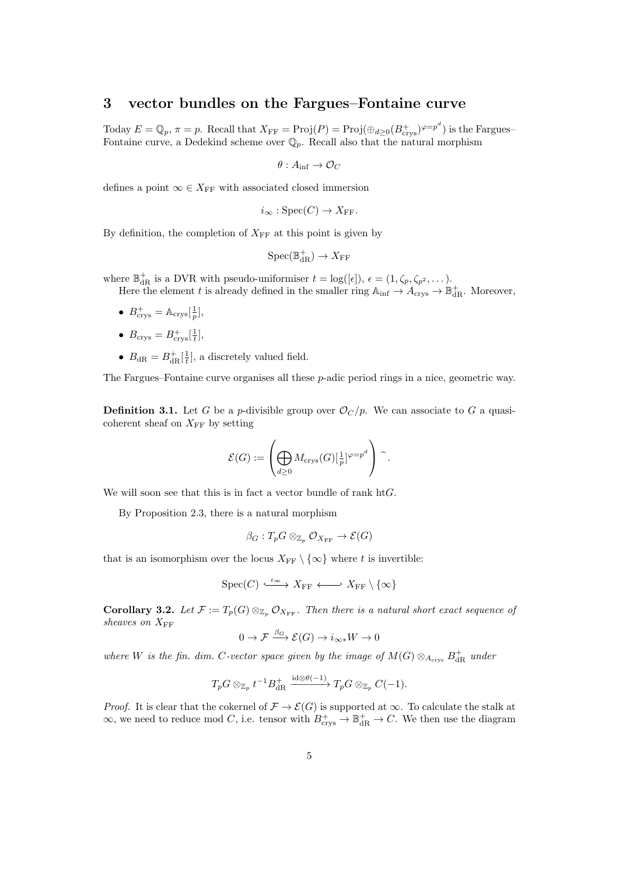## 3 vector bundles on the Fargues–Fontaine curve

Today  $E = \mathbb{Q}_p$ ,  $\pi = p$ . Recall that  $X_{\text{FF}} = \text{Proj}(P) = \text{Proj}(\bigoplus_{d \geq 0} (B_{\text{crys}}^+)^{\varphi = p^d})$  is the Fargues-Fontaine curve, a Dedekind scheme over  $\mathbb{Q}_p$ . Recall also that the natural morphism

$$
\theta: A_{\inf} \to \mathcal{O}_C
$$

defines a point  $\infty \in X_{\text{FF}}$  with associated closed immersion

$$
i_{\infty}
$$
: Spec $(C) \to X_{FF}$ .

By definition, the completion of  $X_{FF}$  at this point is given by

$$
\mathrm{Spec}(\mathbb{B}_{\mathrm{dR}}^+)\to X_{\mathrm{FF}}
$$

where  $\mathbb{B}_{\text{dR}}^+$  is a DVR with pseudo-uniformiser  $t = \log([\epsilon]), \epsilon = (1, \zeta_p, \zeta_{p^2}, \dots)$ .

Here the element t is already defined in the smaller ring  $\mathbb{A}_{\text{inf}} \to \mathbb{A}_{\text{crys}} \to \mathbb{B}_{\text{dR}}^+$ . Moreover,

- $B_{\text{crys}}^+ = \mathbb{A}_{\text{crys}}\left[\frac{1}{p}\right],$
- $B_{\text{crys}} = B_{\text{crys}}^+\left[\frac{1}{t}\right],$
- $B_{\text{dR}} = B_{\text{dR}}^+[\frac{1}{t}],$  a discretely valued field.

The Fargues–Fontaine curve organises all these p-adic period rings in a nice, geometric way.

**Definition 3.1.** Let G be a *p*-divisible group over  $\mathcal{O}_C/p$ . We can associate to G a quasicoherent sheaf on  $X_{\text{FF}}$  by setting

$$
\mathcal{E}(G) := \left(\bigoplus_{d \geq 0} M_{\text{crys}}(G)[\tfrac{1}{p}]^{\varphi = p^d}\right) \sim.
$$

We will soon see that this is in fact a vector bundle of rank  $\text{ht} G$ .

By Proposition [2.3,](#page-3-1) there is a natural morphism

 $\beta_G: T_pG \otimes_{\mathbb{Z}_p} \mathcal{O}_{X_{\text{FF}}} \to \mathcal{E}(G)$ 

that is an isomorphism over the locus  $X_{FF} \setminus {\infty}$  where t is invertible:

$$
\mathrm{Spec}(C) \xrightarrow{\iota_\infty} X_{\mathrm{FF}} \longleftarrow X_{\mathrm{FF}} \setminus \{\infty\}
$$

Corollary 3.2. Let  $\mathcal{F} := T_p(G) \otimes_{\mathbb{Z}_p} \mathcal{O}_{X_{\text{FF}}}$ . Then there is a natural short exact sequence of sheaves on  $X_{\text{FF}}$ 

$$
0 \to \mathcal{F} \xrightarrow{\beta_G} \mathcal{E}(G) \to i_{\infty *}W \to 0
$$

where W is the fin. dim. C-vector space given by the image of  $M(G) \otimes_{A_{\text{crys}}} B^+_{\text{dR}}$  under

$$
T_p G \otimes_{\mathbb{Z}_p} t^{-1} B_{\mathrm{dR}}^+ \xrightarrow{\mathrm{id} \otimes \theta(-1)} T_p G \otimes_{\mathbb{Z}_p} C(-1).
$$

*Proof.* It is clear that the cokernel of  $\mathcal{F} \to \mathcal{E}(G)$  is supported at  $\infty$ . To calculate the stalk at  $\infty$ , we need to reduce mod C, i.e. tensor with  $B_{\text{crys}}^+ \to \mathbb{B}_{\text{dR}}^+ \to C$ . We then use the diagram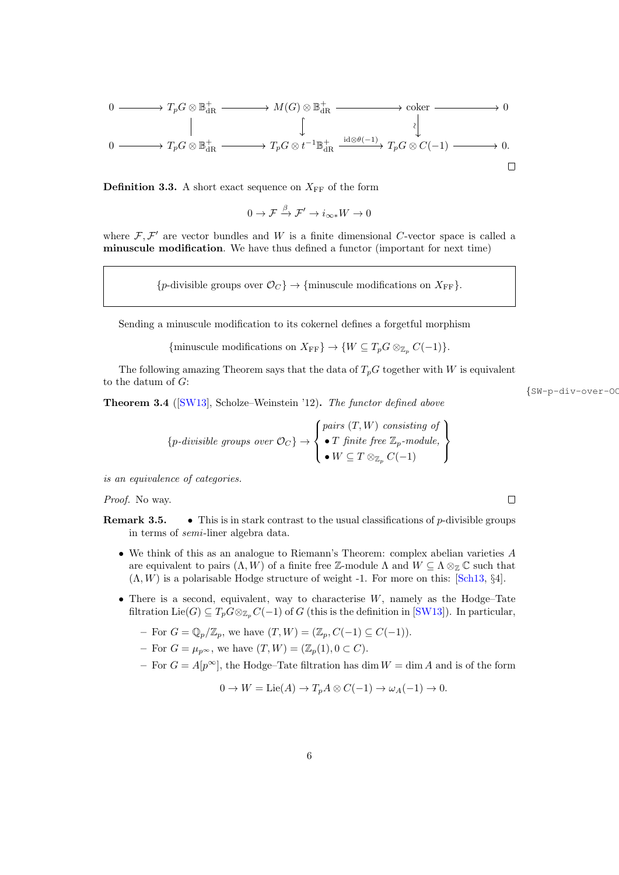$$
\begin{array}{ccccccc}\n0 & \xrightarrow{\qquad} & T_p G \otimes \mathbb{B}_{\text{dR}}^+ & \xrightarrow{\qquad} & M(G) \otimes \mathbb{B}_{\text{dR}}^+ & \xrightarrow{\qquad} & \text{coker} & \xrightarrow{\qquad} & 0 \\
 & & & & & & \\
0 & \xrightarrow{\qquad} & T_p G \otimes \mathbb{B}_{\text{dR}}^+ & \xrightarrow{\qquad} & T_p G \otimes t^{-1} \mathbb{B}_{\text{dR}}^+ & \xrightarrow{\text{id} \otimes \theta(-1)} & T_p G \otimes C(-1) & \xrightarrow{\qquad} & 0.\n\end{array}
$$

**Definition 3.3.** A short exact sequence on  $X_{FF}$  of the form

 $0 \to \mathcal{F} \xrightarrow{\beta} \mathcal{F}' \to i_{\infty *}W \to 0$ 

where  $\mathcal{F}, \mathcal{F}'$  are vector bundles and W is a finite dimensional C-vector space is called a minuscule modification. We have thus defined a functor (important for next time)

{p-divisible groups over  $\mathcal{O}_C$ }  $\rightarrow$  {minuscule modifications on  $X_{\text{FF}}$ }.

Sending a minuscule modification to its cokernel defines a forgetful morphism

{minuscule modifications on  $X_{\text{FF}}$ }  $\rightarrow$  { $W \subseteq T_p G \otimes_{\mathbb{Z}_p} C(-1)$ }.

The following amazing Theorem says that the data of  $T_pG$  together with W is equivalent to the datum of  $G$ :

<span id="page-5-0"></span>Theorem 3.4 ([\[SW13\]](#page-9-1), Scholze–Weinstein '12). The functor defined above

$$
\{p\text{-divisible groups over } \mathcal{O}_C\} \to \left\{\begin{matrix} pairs (T, W) \text{ consisting of}\\ \bullet \text{ } T \text{ finite free } \mathbb{Z}_p\text{-module,}\\ \bullet \text{ } W \subseteq T \otimes_{\mathbb{Z}_p} C(-1)\end{matrix}\right\}
$$

is an equivalence of categories.

Proof. No way.

- **Remark 3.5.** This is in stark contrast to the usual classifications of p-divisible groups in terms of semi-liner algebra data.
	- We think of this as an analogue to Riemann's Theorem: complex abelian varieties A are equivalent to pairs  $(\Lambda, W)$  of a finite free Z-module  $\Lambda$  and  $W \subseteq \Lambda \otimes_{\mathbb{Z}} \mathbb{C}$  such that  $(\Lambda, W)$  is a polarisable Hodge structure of weight -1. For more on this: [\[Sch13,](#page-9-2) §4].
	- There is a second, equivalent, way to characterise  $W$ , namely as the Hodge–Tate filtration Lie(G)  $\subseteq T_p G \otimes_{\mathbb{Z}_p} C(-1)$  of G (this is the definition in [\[SW13\]](#page-9-1)). In particular,
		- For  $G = \mathbb{Q}_p/\mathbb{Z}_p$ , we have  $(T, W) = (\mathbb{Z}_p, C(-1) \subseteq C(-1)).$
		- For  $G = \mu_{p^{\infty}}$ , we have  $(T, W) = (\mathbb{Z}_p(1), 0 \subset C)$ .
		- For  $G = A[p^{\infty}]$ , the Hodge–Tate filtration has dim  $W = \dim A$  and is of the form

$$
0 \to W = \text{Lie}(A) \to T_p A \otimes C(-1) \to \omega_A(-1) \to 0.
$$

 $\{SW-p-div-over-OC\}$ 

 $\Box$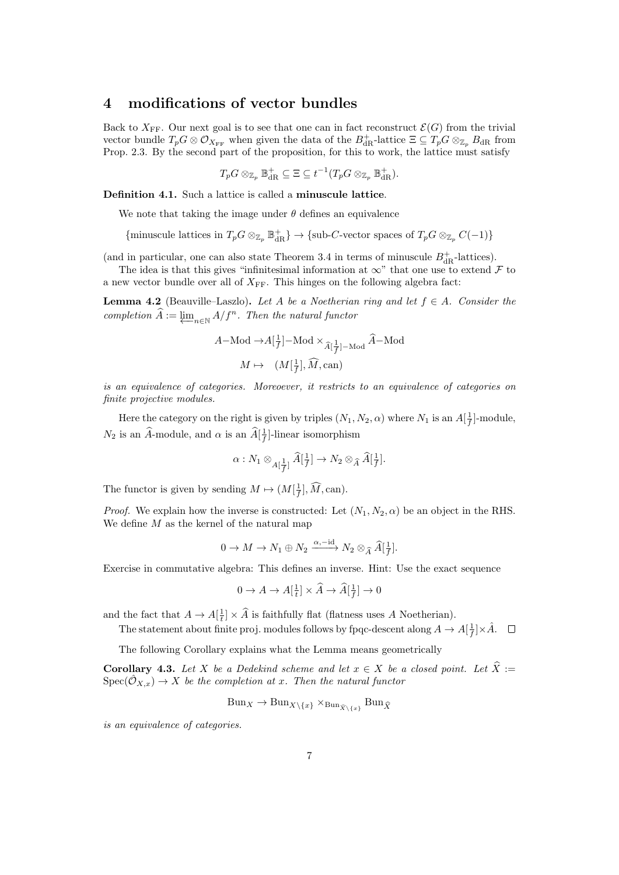## 4 modifications of vector bundles

Back to  $X_{\text{FF}}$ . Our next goal is to see that one can in fact reconstruct  $\mathcal{E}(G)$  from the trivial vector bundle  $T_p G \otimes \mathcal{O}_{X_{\text{FF}}}$  when given the data of the  $B^+_{\text{dR}}$ -lattice  $\Xi \subseteq T_p G \otimes_{\mathbb{Z}_p} B_{\text{dR}}$  from Prop. [2.3.](#page-3-1) By the second part of the proposition, for this to work, the lattice must satisfy

$$
T_pG \otimes_{\mathbb{Z}_p} \mathbb{B}_{\mathrm{dR}}^+ \subseteq \Xi \subseteq t^{-1}(T_pG \otimes_{\mathbb{Z}_p} \mathbb{B}_{\mathrm{dR}}^+).
$$

Definition 4.1. Such a lattice is called a minuscule lattice.

We note that taking the image under  $\theta$  defines an equivalence

 $\{\text{minuscule lattices in } T_pG\otimes_{\mathbb{Z}_p}\mathbb{B}^+_{\mathrm{dR}}\}\rightarrow\{\text{sub-}C\text{-vector spaces of }T_pG\otimes_{\mathbb{Z}_p}C(-1)\}$ 

(and in particular, one can also state Theorem [3.4](#page-5-0) in terms of minuscule  $B_{\mathrm{dR}}^+$ -lattices).

The idea is that this gives "infinitesimal information at  $\infty$ " that one use to extend F to a new vector bundle over all of  $X_{\text{FF}}$ . This hinges on the following algebra fact:

**Lemma 4.2** (Beauville–Laszlo). Let A be a Noetherian ring and let  $f \in A$ . Consider the completion  $\widehat{A} := \varprojlim_{n \in \mathbb{N}} A/f^n$ . Then the natural functor

$$
A-\text{Mod}\to A[\frac{1}{f}]-\text{Mod}\times_{\widehat{A}[\frac{1}{f}]-\text{Mod}}\widehat{A}-\text{Mod}
$$

$$
M\mapsto (M[\frac{1}{f}],\widehat{M},\text{can})
$$

is an equivalence of categories. Moreoever, it restricts to an equivalence of categories on finite projective modules.

Here the category on the right is given by triples  $(N_1, N_2, \alpha)$  where  $N_1$  is an  $A[\frac{1}{f}]$ -module,  $N_2$  is an  $\widehat{A}$ -module, and  $\alpha$  is an  $\widehat{A}[\frac{1}{f}]$ -linear isomorphism

$$
\alpha:N_1\otimes_{A[\frac{1}{f}]}\widehat{A}[\frac{1}{f}]\rightarrow N_2\otimes_{\widehat{A}}\widehat{A}[\frac{1}{f}].
$$

The functor is given by sending  $M \mapsto (M[\frac{1}{f}], \widehat{M}, \text{can}).$ 

*Proof.* We explain how the inverse is constructed: Let  $(N_1, N_2, \alpha)$  be an object in the RHS. We define  $M$  as the kernel of the natural map

$$
0 \to M \to N_1 \oplus N_2 \xrightarrow{\alpha, -id} N_2 \otimes_{\widehat{A}} \widehat{A}[\frac{1}{f}].
$$

Exercise in commutative algebra: This defines an inverse. Hint: Use the exact sequence

$$
0 \to A \to A[\frac{1}{t}] \times \widehat{A} \to \widehat{A}[\frac{1}{f}] \to 0
$$

and the fact that  $A \to A[\frac{1}{t}] \times \widehat{A}$  is faithfully flat (flatness uses A Noetherian).

The statement about finite proj. modules follows by fpqc-descent along  $A \to A[\frac{1}{f}] \times \hat{A}$ .

The following Corollary explains what the Lemma means geometrically

**Corollary 4.3.** Let X be a Dedekind scheme and let  $x \in X$  be a closed point. Let  $\hat{X} :=$  $Spec(\hat{O}_{X,x}) \to X$  be the completion at x. Then the natural functor

$$
\text{Bun}_X \to \text{Bun}_{X \setminus \{x\}} \times_{\text{Bun}_{\widehat{X} \setminus \{x\}}} \text{Bun}_{\widehat{X}}
$$

is an equivalence of categories.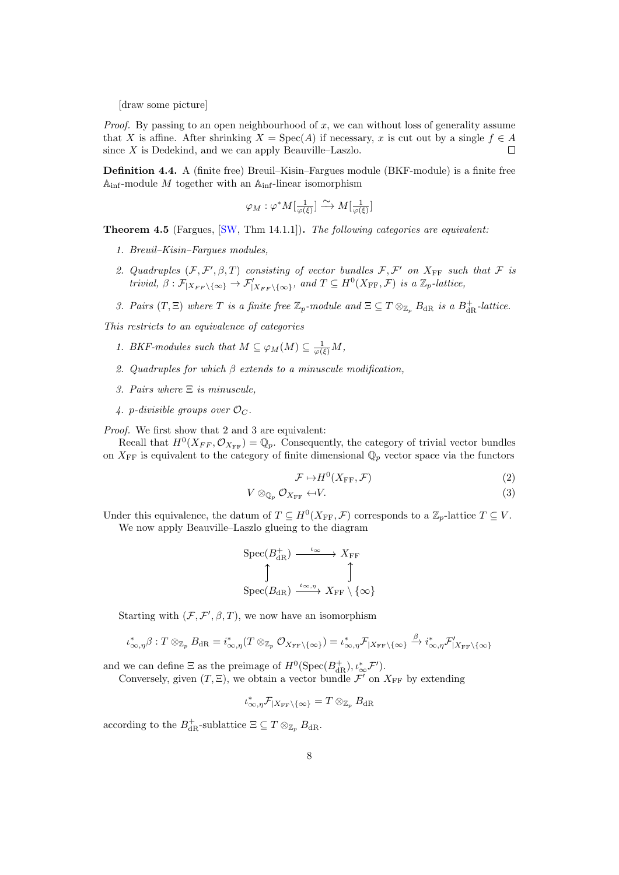[draw some picture]

*Proof.* By passing to an open neighbourhood of x, we can without loss of generality assume that X is affine. After shrinking  $X = \text{Spec}(A)$  if necessary, x is cut out by a single  $f \in A$ since  $X$  is Dedekind, and we can apply Beauville–Laszlo.  $\Box$ 

Definition 4.4. A (finite free) Breuil–Kisin–Fargues module (BKF-module) is a finite free  $\mathbb{A}_{\mathrm{inf}}\text{-}\mathrm{mod}$ ule  $M$ together with an $\mathbb{A}_{\mathrm{inf}}\text{-}\mathrm{linear}$ isomorphism

$$
\varphi_M : \varphi^* M[\tfrac{1}{\varphi(\xi)}] \xrightarrow{\sim} M[\tfrac{1}{\varphi(\xi)}]
$$

**Theorem 4.5** (Fargues,  $\text{SW}$ , Thm 14.1.1). The following categories are equivalent:

- 1. Breuil–Kisin–Fargues modules,
- 2. Quadruples  $(F, \mathcal{F}', \beta, T)$  consisting of vector bundles  $F, \mathcal{F}'$  on  $X_{\text{FF}}$  such that  $\mathcal F$  is trivial,  $\beta : \mathcal{F}|_{X_{FF} \setminus \{\infty\}} \to \mathcal{F}'_{|X_{FF} \setminus \{\infty\}},$  and  $T \subseteq H^0(X_{FF}, \mathcal{F})$  is a  $\mathbb{Z}_p$ -lattice,
- 3. Pairs  $(T, \Xi)$  where T is a finite free  $\mathbb{Z}_p$ -module and  $\Xi \subseteq T \otimes_{\mathbb{Z}_p} B_{\mathrm{dR}}$  is a  $B_{\mathrm{dR}}^+$ -lattice.

This restricts to an equivalence of categories

- 1. BKF-modules such that  $M \subseteq \varphi_M(M) \subseteq \frac{1}{\varphi(\xi)}M$ ,
- 2. Quadruples for which  $\beta$  extends to a minuscule modification,
- 3. Pairs where Ξ is minuscule,
- 4. p-divisible groups over  $\mathcal{O}_C$ .

Proof. We first show that 2 and 3 are equivalent:

Recall that  $H^0(X_{FF}, \mathcal{O}_{X_{FF}}) = \mathbb{Q}_p$ . Consequently, the category of trivial vector bundles on  $X_{\text{FF}}$  is equivalent to the category of finite dimensional  $\mathbb{Q}_p$  vector space via the functors

$$
\mathcal{F} \mapsto H^0(X_{\text{FF}}, \mathcal{F}) \tag{2}
$$

$$
V \otimes_{\mathbb{Q}_p} \mathcal{O}_{X_{\text{FF}}} \leftarrow V. \tag{3}
$$

Under this equivalence, the datum of  $T \subseteq H^0(X_{\text{FF}}, \mathcal{F})$  corresponds to a  $\mathbb{Z}_p$ -lattice  $T \subseteq V$ . We now apply Beauville–Laszlo glueing to the diagram

$$
\begin{array}{ccc}\mathrm{Spec}(B^+_{\mathrm{dR}}) & \xrightarrow{\iota_\infty} & X_{\mathrm{FF}} \\ \uparrow & & \uparrow \\ \mathrm{Spec}(B_{\mathrm{dR}}) & \xrightarrow{\iota_\infty, \eta} & X_{\mathrm{FF}} \setminus \{\infty\} \end{array}
$$

Starting with  $(\mathcal{F}, \mathcal{F}', \beta, T)$ , we now have an isomorphism

$$
\iota_{\infty,\eta}^*\beta:T\otimes_{\mathbb{Z}_p}B_{\mathrm{dR}}=i_{\infty,\eta}^*(T\otimes_{\mathbb{Z}_p}\mathcal{O}_{X_{\mathrm{FF}}\backslash\{\infty\}})=\iota_{\infty,\eta}^*\mathcal{F}_{|X_{\mathrm{FF}}\backslash\{\infty\}}\stackrel{\beta}{\to}i_{\infty,\eta}^*\mathcal{F}'_{|X_{\mathrm{FF}}\backslash\{\infty\}}
$$

and we can define  $\Xi$  as the preimage of  $H^0(\text{Spec}(B_{\text{dR}}^+), \iota^*_{\infty} \mathcal{F}').$ 

Conversely, given  $(T, \Xi)$ , we obtain a vector bundle  $\mathcal{F}'$  on  $X_{\text{FF}}$  by extending

$$
\iota_{\infty,\eta}^* \mathcal{F}_{|X_{\text{FF}}\setminus\{\infty\}} = T \otimes_{\mathbb{Z}_p} B_{\text{dR}}
$$

according to the  $B_{\mathrm{dR}}^+$ -sublattice  $\Xi \subseteq T \otimes_{\mathbb{Z}_p} B_{\mathrm{dR}}$ .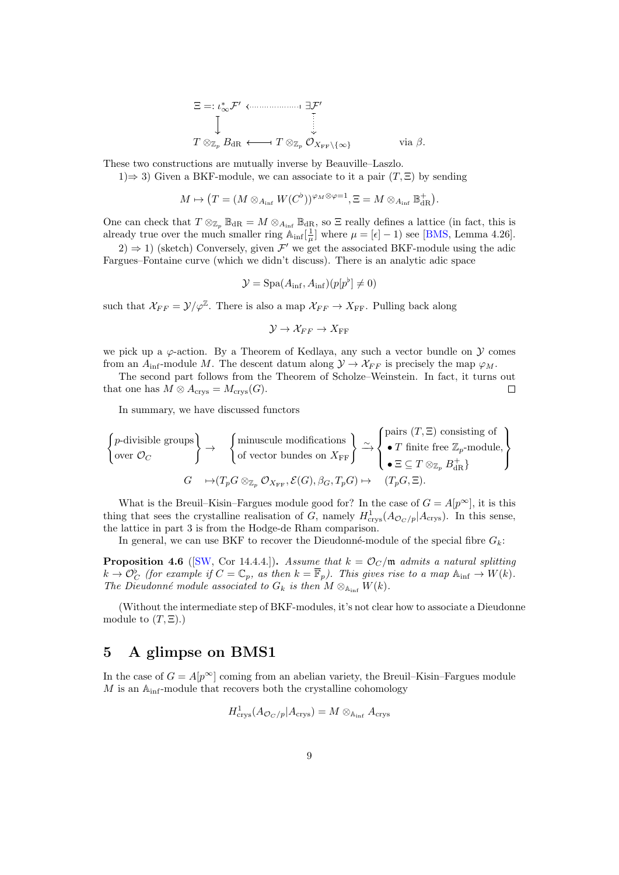$$
\Xi =: \iota_{\infty}^* \mathcal{F}' \longleftrightarrow \exists \mathcal{F}'
$$
  
\n
$$
\downarrow
$$
  
\n
$$
T \otimes_{\mathbb{Z}_p} B_{\mathrm{dR}} \longleftrightarrow T \otimes_{\mathbb{Z}_p} \mathcal{O}_{X_{\mathrm{FF}} \setminus {\{\infty\}}} \qquad \text{via } \beta.
$$

These two constructions are mutually inverse by Beauville–Laszlo.

1)⇒ 3) Given a BKF-module, we can associate to it a pair  $(T, \Xi)$  by sending

$$
M \mapsto \big(T = (M \otimes_{A_{\inf}} W(C^{\flat}))^{\varphi_M \otimes \varphi = 1}, \Xi = M \otimes_{A_{\inf}} \mathbb{B}_{\mathrm{dR}}^+ \big).
$$

One can check that  $T \otimes_{\mathbb{Z}_p} \mathbb{B}_{dR} = M \otimes_{A_{inf}} \mathbb{B}_{dR}$ , so  $\Xi$  really defines a lattice (in fact, this is already true over the much smaller ring  $\mathbb{A}_{\text{inf}}[\frac{1}{\mu}]$  where  $\mu = [\epsilon] - 1$ ) see [\[BMS,](#page-9-0) Lemma 4.26].

 $(2) \Rightarrow 1$ ) (sketch) Conversely, given  $\mathcal{F}'$  we get the associated BKF-module using the adic Fargues–Fontaine curve (which we didn't discuss). There is an analytic adic space

$$
\mathcal{Y} = \text{Spa}(A_{\text{inf}}, A_{\text{inf}})(p[p^{\flat}] \neq 0)
$$

such that  $\chi_{FF} = \mathcal{Y}/\varphi^{\mathbb{Z}}$ . There is also a map  $\chi_{FF} \to X_{FF}$ . Pulling back along

$$
\mathcal{Y}\to\mathcal{X}_{FF}\to X_{\rm FF}
$$

we pick up a  $\varphi$ -action. By a Theorem of Kedlaya, any such a vector bundle on  $\mathcal Y$  comes from an  $A_{\text{inf}}$ -module M. The descent datum along  $\mathcal{Y} \to \mathcal{X}_{FF}$  is precisely the map  $\varphi_M$ .

The second part follows from the Theorem of Scholze–Weinstein. In fact, it turns out that one has  $M \otimes A_{\text{crys}} = M_{\text{crys}}(G)$ .  $\Box$ 

In summary, we have discussed functors

$$
\left\{\begin{aligned}\n & \text{p-divisible groups} \\
 &\text{over } \mathcal{O}_C\n \end{aligned}\right\} \rightarrow \quad \left\{\begin{aligned}\n & \text{minuscule modifications} \\
 & \text{of vector bundles on } X_{\text{FF}}\n \end{aligned}\right\}\n \xrightarrow{\sim} \left\{\begin{aligned}\n & \text{pairs } (T, \Xi) \text{ consisting of} \\
 &\bullet T \text{ finite free } \mathbb{Z}_p\text{-module,} \\
 &\bullet \Xi \subseteq T \otimes_{\mathbb{Z}_p} B_{\text{dR}}^+\n \end{aligned}\right\}
$$
\n
$$
G \quad \mapsto (T_p G \otimes_{\mathbb{Z}_p} \mathcal{O}_{X_{\text{FF}}}, \mathcal{E}(G), \beta_G, T_p G) \mapsto \quad (T_p G, \Xi).
$$

What is the Breuil–Kisin–Fargues module good for? In the case of  $G = A[p^{\infty}]$ , it is this thing that sees the crystalline realisation of G, namely  $H_{\text{crys}}^1(A_{\mathcal{O}_C/p}|A_{\text{crys}})$ . In this sense, the lattice in part 3 is from the Hodge-de Rham comparison.

In general, we can use BKF to recover the Dieudonné-module of the special fibre  $G_k$ :

**Proposition 4.6** ([\[SW,](#page-9-3) Cor 14.4.4.]). Assume that  $k = \mathcal{O}_C/\mathfrak{m}$  admits a natural splitting  $k \to \mathcal{O}_C^{\flat}$  (for example if  $C = \mathbb{C}_p$ , as then  $k = \overline{\mathbb{F}}_p$ ). This gives rise to a map  $\mathbb{A}_{\text{inf}} \to W(k)$ . The Dieudonné module associated to  $G_k$  is then  $M \otimes_{A_{inf}} W(k)$ .

(Without the intermediate step of BKF-modules, it's not clear how to associate a Dieudonne module to  $(T, \Xi)$ .)

#### 5 A glimpse on BMS1

In the case of  $G = A[p^{\infty}]$  coming from an abelian variety, the Breuil–Kisin–Fargues module  $M$  is an  $\mathbb{A}_{\text{inf}}$ -module that recovers both the crystalline cohomology

$$
H^1_{\text{crys}}(A_{\mathcal{O}_C/p}|A_{\text{crys}}) = M \otimes_{\mathbb{A}_{\text{inf}}} A_{\text{crys}}
$$